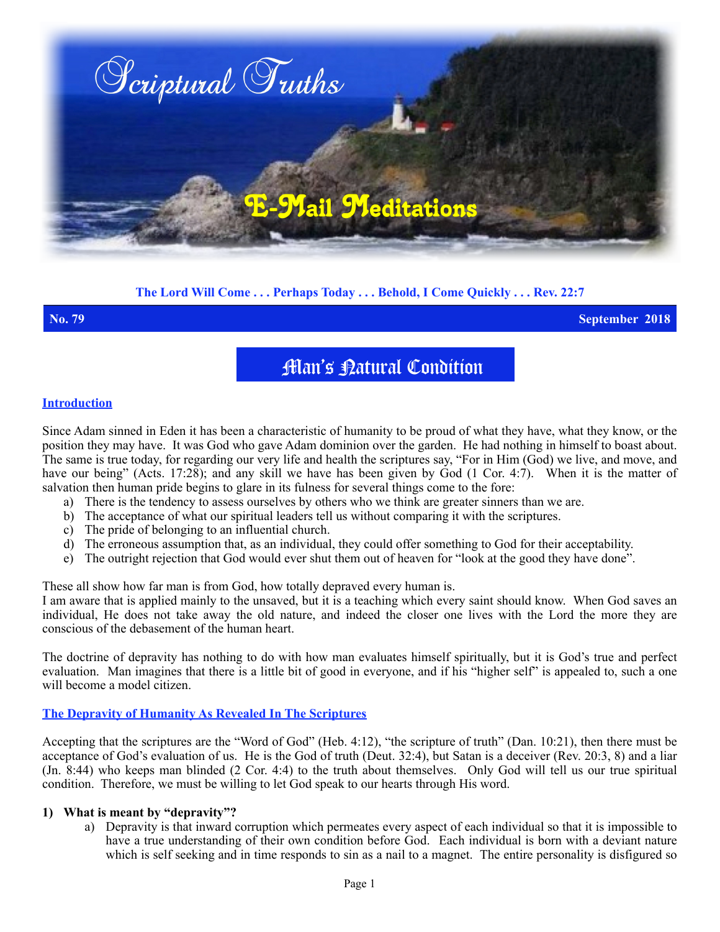

# **The Lord Will Come . . . Perhaps Today . . . Behold, I Come Quickly . . . Rev. 22:7**

**No. 79 September 2018**

**Man's Latural Condition** 

#### **Introduction**

Since Adam sinned in Eden it has been a characteristic of humanity to be proud of what they have, what they know, or the position they may have. It was God who gave Adam dominion over the garden. He had nothing in himself to boast about. The same is true today, for regarding our very life and health the scriptures say, "For in Him (God) we live, and move, and have our being" (Acts. 17:28); and any skill we have has been given by God (1 Cor. 4:7). When it is the matter of salvation then human pride begins to glare in its fulness for several things come to the fore:

- a) There is the tendency to assess ourselves by others who we think are greater sinners than we are.
- b) The acceptance of what our spiritual leaders tell us without comparing it with the scriptures.
- c) The pride of belonging to an influential church.
- d) The erroneous assumption that, as an individual, they could offer something to God for their acceptability.
- e) The outright rejection that God would ever shut them out of heaven for "look at the good they have done".

These all show how far man is from God, how totally depraved every human is.

I am aware that is applied mainly to the unsaved, but it is a teaching which every saint should know. When God saves an individual, He does not take away the old nature, and indeed the closer one lives with the Lord the more they are conscious of the debasement of the human heart.

The doctrine of depravity has nothing to do with how man evaluates himself spiritually, but it is God's true and perfect evaluation. Man imagines that there is a little bit of good in everyone, and if his "higher self" is appealed to, such a one will become a model citizen.

## **The Depravity of Humanity As Revealed In The Scriptures**

Accepting that the scriptures are the "Word of God" (Heb. 4:12), "the scripture of truth" (Dan. 10:21), then there must be acceptance of God's evaluation of us. He is the God of truth (Deut. 32:4), but Satan is a deceiver (Rev. 20:3, 8) and a liar (Jn. 8:44) who keeps man blinded (2 Cor. 4:4) to the truth about themselves. Only God will tell us our true spiritual condition. Therefore, we must be willing to let God speak to our hearts through His word.

#### **1) What is meant by "depravity"?**

a) Depravity is that inward corruption which permeates every aspect of each individual so that it is impossible to have a true understanding of their own condition before God. Each individual is born with a deviant nature which is self seeking and in time responds to sin as a nail to a magnet. The entire personality is disfigured so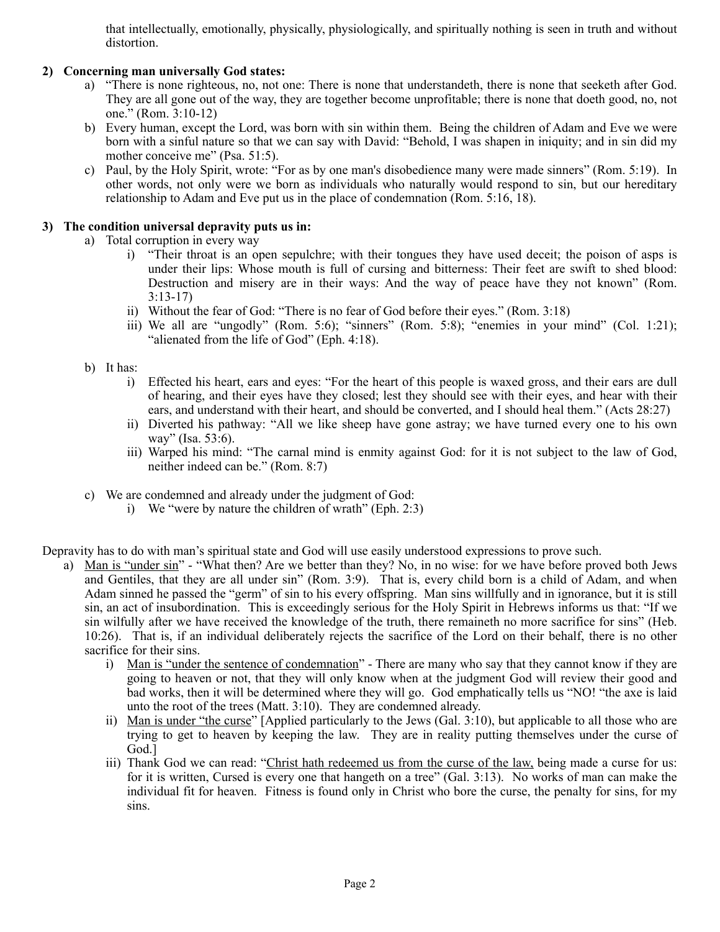that intellectually, emotionally, physically, physiologically, and spiritually nothing is seen in truth and without distortion.

## **2) Concerning man universally God states:**

- a) "There is none righteous, no, not one: There is none that understandeth, there is none that seeketh after God. They are all gone out of the way, they are together become unprofitable; there is none that doeth good, no, not one." (Rom. 3:10-12)
- b) Every human, except the Lord, was born with sin within them. Being the children of Adam and Eve we were born with a sinful nature so that we can say with David: "Behold, I was shapen in iniquity; and in sin did my mother conceive me" (Psa. 51:5).
- c) Paul, by the Holy Spirit, wrote: "For as by one man's disobedience many were made sinners" (Rom. 5:19). In other words, not only were we born as individuals who naturally would respond to sin, but our hereditary relationship to Adam and Eve put us in the place of condemnation (Rom. 5:16, 18).

## **3) The condition universal depravity puts us in:**

- a) Total corruption in every way
	- i) "Their throat is an open sepulchre; with their tongues they have used deceit; the poison of asps is under their lips: Whose mouth is full of cursing and bitterness: Their feet are swift to shed blood: Destruction and misery are in their ways: And the way of peace have they not known" (Rom. 3:13-17)
	- ii) Without the fear of God: "There is no fear of God before their eyes." (Rom. 3:18)
	- iii) We all are "ungodly" (Rom. 5:6); "sinners" (Rom. 5:8); "enemies in your mind" (Col. 1:21); "alienated from the life of God" (Eph. 4:18).
- b) It has:
	- i) Effected his heart, ears and eyes: "For the heart of this people is waxed gross, and their ears are dull of hearing, and their eyes have they closed; lest they should see with their eyes, and hear with their ears, and understand with their heart, and should be converted, and I should heal them." (Acts 28:27)
	- ii) Diverted his pathway: "All we like sheep have gone astray; we have turned every one to his own way" (Isa. 53:6).
	- iii) Warped his mind: "The carnal mind is enmity against God: for it is not subject to the law of God, neither indeed can be." (Rom. 8:7)
- c) We are condemned and already under the judgment of God:
	- i) We "were by nature the children of wrath" (Eph. 2:3)

Depravity has to do with man's spiritual state and God will use easily understood expressions to prove such.

- a) Man is "under sin" "What then? Are we better than they? No, in no wise: for we have before proved both Jews and Gentiles, that they are all under sin" (Rom. 3:9). That is, every child born is a child of Adam, and when Adam sinned he passed the "germ" of sin to his every offspring. Man sins willfully and in ignorance, but it is still sin, an act of insubordination. This is exceedingly serious for the Holy Spirit in Hebrews informs us that: "If we sin wilfully after we have received the knowledge of the truth, there remaineth no more sacrifice for sins" (Heb. 10:26). That is, if an individual deliberately rejects the sacrifice of the Lord on their behalf, there is no other sacrifice for their sins.
	- i) Man is "under the sentence of condemnation" There are many who say that they cannot know if they are going to heaven or not, that they will only know when at the judgment God will review their good and bad works, then it will be determined where they will go. God emphatically tells us "NO! "the axe is laid unto the root of the trees (Matt. 3:10). They are condemned already.
	- ii) Man is under "the curse" [Applied particularly to the Jews (Gal. 3:10), but applicable to all those who are trying to get to heaven by keeping the law. They are in reality putting themselves under the curse of God.]
	- iii) Thank God we can read: "Christ hath redeemed us from the curse of the law, being made a curse for us: for it is written, Cursed is every one that hangeth on a tree" (Gal. 3:13). No works of man can make the individual fit for heaven. Fitness is found only in Christ who bore the curse, the penalty for sins, for my sins.